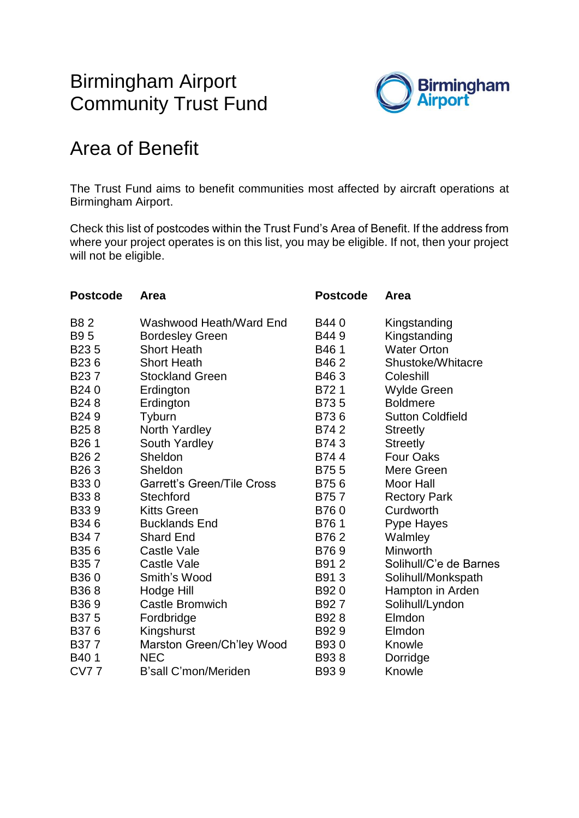# Birmingham Airport Community Trust Fund



# Area of Benefit

The Trust Fund aims to benefit communities most affected by aircraft operations at Birmingham Airport.

Check this list of postcodes within the Trust Fund's Area of Benefit. If the address from where your project operates is on this list, you may be eligible. If not, then your project will not be eligible.

| <b>Postcode</b>   | Area                              | <b>Postcode</b> | <b>Area</b>             |
|-------------------|-----------------------------------|-----------------|-------------------------|
| <b>B82</b>        | Washwood Heath/Ward End           | B440            | Kingstanding            |
| <b>B95</b>        | <b>Bordesley Green</b>            | B449            | Kingstanding            |
| B <sub>235</sub>  | <b>Short Heath</b>                | B461            | <b>Water Orton</b>      |
| B236              | <b>Short Heath</b>                | B462            | Shustoke/Whitacre       |
| B <sub>23</sub> 7 | <b>Stockland Green</b>            | B463            | Coleshill               |
| B240              | Erdington                         | B721            | Wylde Green             |
| B <sub>24</sub> 8 | Erdington                         | B735            | <b>Boldmere</b>         |
| B <sub>24</sub> 9 | Tyburn                            | B736            | <b>Sutton Coldfield</b> |
| B <sub>25</sub> 8 | North Yardley                     | B742            | <b>Streetly</b>         |
| B <sub>26</sub> 1 | South Yardley                     | B743            | <b>Streetly</b>         |
| B <sub>262</sub>  | Sheldon                           | B744            | <b>Four Oaks</b>        |
| B <sub>26</sub> 3 | Sheldon                           | B755            | Mere Green              |
| B330              | <b>Garrett's Green/Tile Cross</b> | B756            | <b>Moor Hall</b>        |
| B338              | <b>Stechford</b>                  | B757            | <b>Rectory Park</b>     |
| <b>B339</b>       | <b>Kitts Green</b>                | B760            | Curdworth               |
| B346              | <b>Bucklands End</b>              | B761            | Pype Hayes              |
| B347              | <b>Shard End</b>                  | B762            | Walmley                 |
| B <sub>35</sub> 6 | <b>Castle Vale</b>                | B769            | Minworth                |
| B <sub>35</sub> 7 | Castle Vale                       | B912            | Solihull/C'e de Barnes  |
| B360              | Smith's Wood                      | B913            | Solihull/Monkspath      |
| B <sub>36</sub> 8 | Hodge Hill                        | B920            | Hampton in Arden        |
| B <sub>36</sub> 9 | <b>Castle Bromwich</b>            | B927            | Solihull/Lyndon         |
| B <sub>375</sub>  | Fordbridge                        | B928            | Elmdon                  |
| B376              | Kingshurst                        | B929            | Elmdon                  |
| B377              | Marston Green/Ch'ley Wood         | B930            | Knowle                  |
| B <sub>40</sub> 1 | <b>NEC</b>                        | B938            | Dorridge                |
| <b>CV77</b>       | B'sall C'mon/Meriden              | B939            | Knowle                  |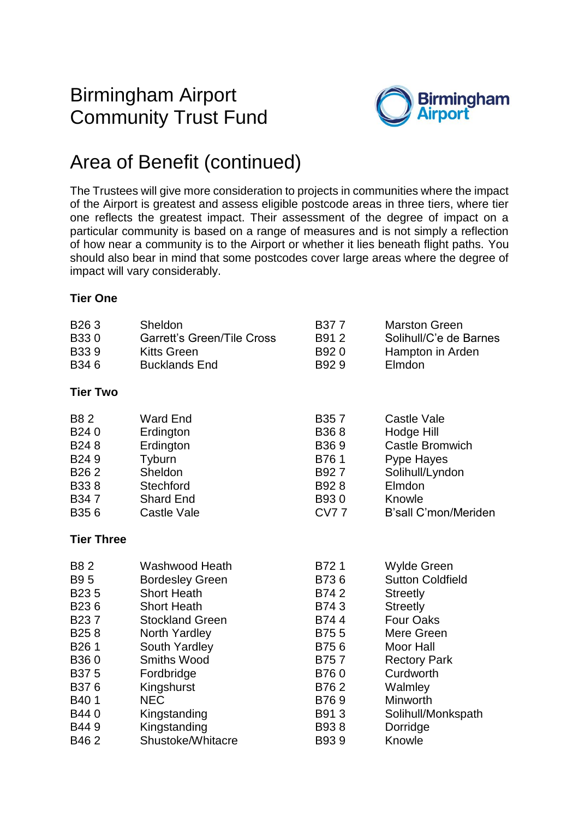### Birmingham Airport Community Trust Fund



# Area of Benefit (continued)

The Trustees will give more consideration to projects in communities where the impact of the Airport is greatest and assess eligible postcode areas in three tiers, where tier one reflects the greatest impact. Their assessment of the degree of impact on a particular community is based on a range of measures and is not simply a reflection of how near a community is to the Airport or whether it lies beneath flight paths. You should also bear in mind that some postcodes cover large areas where the degree of impact will vary considerably.

#### **Tier One**

| B <sub>26</sub> 3<br>B330<br><b>B339</b><br>B346 | Sheldon<br><b>Garrett's Green/Tile Cross</b><br><b>Kitts Green</b><br><b>Bucklands End</b> | B377<br>B912<br>B920<br>B929 | <b>Marston Green</b><br>Solihull/C'e de Barnes<br>Hampton in Arden<br>Elmdon |
|--------------------------------------------------|--------------------------------------------------------------------------------------------|------------------------------|------------------------------------------------------------------------------|
| <b>Tier Two</b>                                  |                                                                                            |                              |                                                                              |
| <b>B82</b>                                       | <b>Ward End</b>                                                                            | B <sub>35</sub> 7            | Castle Vale                                                                  |
| B240                                             | Erdington                                                                                  | B368                         | Hodge Hill                                                                   |
| B <sub>24</sub> 8                                | Erdington                                                                                  | B <sub>36</sub> 9            | <b>Castle Bromwich</b>                                                       |
| B <sub>24</sub> 9                                | Tyburn                                                                                     | B761                         | Pype Hayes                                                                   |
| B <sub>26</sub> 2                                | Sheldon                                                                                    | B927                         | Solihull/Lyndon                                                              |
| <b>B338</b>                                      | Stechford                                                                                  | B928                         | Elmdon                                                                       |
| B347                                             | <b>Shard End</b>                                                                           | B930                         | Knowle                                                                       |
| B <sub>35</sub> 6                                | <b>Castle Vale</b>                                                                         | <b>CV77</b>                  | B'sall C'mon/Meriden                                                         |
| <b>Tier Three</b>                                |                                                                                            |                              |                                                                              |
| <b>B82</b>                                       | Washwood Heath                                                                             | B721                         | <b>Wylde Green</b>                                                           |
| <b>B95</b>                                       | <b>Bordesley Green</b>                                                                     | B736                         | <b>Sutton Coldfield</b>                                                      |
| B <sub>235</sub>                                 | <b>Short Heath</b>                                                                         | B742                         | <b>Streetly</b>                                                              |
| B <sub>236</sub>                                 | <b>Short Heath</b>                                                                         | B743                         | <b>Streetly</b>                                                              |
| B <sub>23</sub> 7                                | <b>Stockland Green</b>                                                                     | B744                         | <b>Four Oaks</b>                                                             |
| B <sub>25</sub> 8                                | North Yardley                                                                              | B755                         | Mere Green                                                                   |
| B <sub>26</sub> 1                                | South Yardley                                                                              | B756                         | <b>Moor Hall</b>                                                             |
| B360                                             | <b>Smiths Wood</b>                                                                         | B757                         | <b>Rectory Park</b>                                                          |
| B375                                             | Fordbridge                                                                                 | B760                         | Curdworth                                                                    |
| B376                                             | Kingshurst                                                                                 | B762                         | Walmley                                                                      |
| B401                                             | <b>NEC</b>                                                                                 | B769                         | Minworth                                                                     |
| B440                                             | Kingstanding                                                                               | B913                         | Solihull/Monkspath                                                           |
| B449                                             | Kingstanding                                                                               | B938                         | Dorridge                                                                     |
| B462                                             | Shustoke/Whitacre                                                                          | B939                         | Knowle                                                                       |